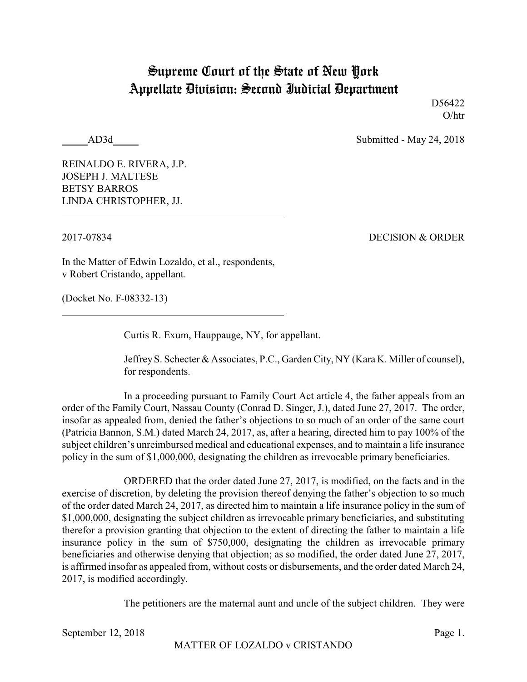## Supreme Court of the State of New York Appellate Division: Second Judicial Department

D<sub>56422</sub> O/htr

AD3d Submitted - May 24, 2018

REINALDO E. RIVERA, J.P. JOSEPH J. MALTESE BETSY BARROS LINDA CHRISTOPHER, JJ.

2017-07834 DECISION & ORDER

In the Matter of Edwin Lozaldo, et al., respondents, v Robert Cristando, appellant.

(Docket No. F-08332-13)

Curtis R. Exum, Hauppauge, NY, for appellant.

Jeffrey S. Schecter & Associates, P.C., Garden City, NY (Kara K. Miller of counsel), for respondents.

In a proceeding pursuant to Family Court Act article 4, the father appeals from an order of the Family Court, Nassau County (Conrad D. Singer, J.), dated June 27, 2017. The order, insofar as appealed from, denied the father's objections to so much of an order of the same court (Patricia Bannon, S.M.) dated March 24, 2017, as, after a hearing, directed him to pay 100% of the subject children's unreimbursed medical and educational expenses, and to maintain a life insurance policy in the sum of \$1,000,000, designating the children as irrevocable primary beneficiaries.

ORDERED that the order dated June 27, 2017, is modified, on the facts and in the exercise of discretion, by deleting the provision thereof denying the father's objection to so much of the order dated March 24, 2017, as directed him to maintain a life insurance policy in the sum of \$1,000,000, designating the subject children as irrevocable primary beneficiaries, and substituting therefor a provision granting that objection to the extent of directing the father to maintain a life insurance policy in the sum of \$750,000, designating the children as irrevocable primary beneficiaries and otherwise denying that objection; as so modified, the order dated June 27, 2017, is affirmed insofar as appealed from, without costs or disbursements, and the order dated March 24, 2017, is modified accordingly.

The petitioners are the maternal aunt and uncle of the subject children. They were

September 12, 2018 Page 1.

MATTER OF LOZALDO v CRISTANDO